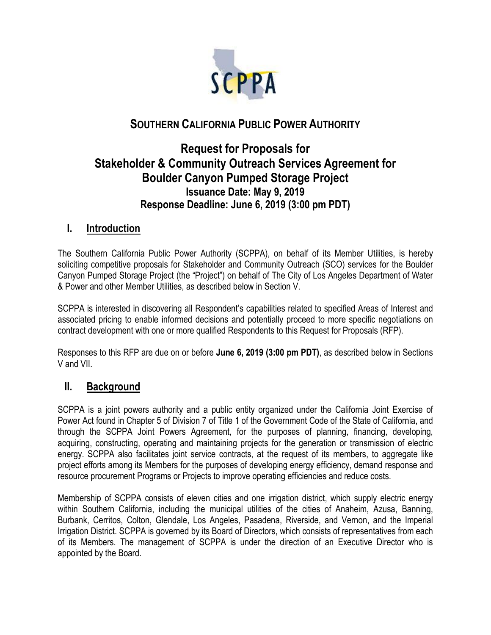

# **SOUTHERN CALIFORNIA PUBLIC POWER AUTHORITY**

# **Request for Proposals for Stakeholder & Community Outreach Services Agreement for Boulder Canyon Pumped Storage Project Issuance Date: May 9, 2019 Response Deadline: June 6, 2019 (3:00 pm PDT)**

## **I. Introduction**

The Southern California Public Power Authority (SCPPA), on behalf of its Member Utilities, is hereby soliciting competitive proposals for Stakeholder and Community Outreach (SCO) services for the Boulder Canyon Pumped Storage Project (the "Project") on behalf of The City of Los Angeles Department of Water & Power and other Member Utilities, as described below in Section V.

SCPPA is interested in discovering all Respondent's capabilities related to specified Areas of Interest and associated pricing to enable informed decisions and potentially proceed to more specific negotiations on contract development with one or more qualified Respondents to this Request for Proposals (RFP).

Responses to this RFP are due on or before **June 6, 2019 (3:00 pm PDT)**, as described below in Sections V and VII.

### **II. Background**

SCPPA is a joint powers authority and a public entity organized under the California Joint Exercise of Power Act found in Chapter 5 of Division 7 of Title 1 of the Government Code of the State of California, and through the SCPPA Joint Powers Agreement, for the purposes of planning, financing, developing, acquiring, constructing, operating and maintaining projects for the generation or transmission of electric energy. SCPPA also facilitates joint service contracts, at the request of its members, to aggregate like project efforts among its Members for the purposes of developing energy efficiency, demand response and resource procurement Programs or Projects to improve operating efficiencies and reduce costs.

Membership of SCPPA consists of eleven cities and one irrigation district, which supply electric energy within Southern California, including the municipal utilities of the cities of Anaheim, Azusa, Banning, Burbank, Cerritos, Colton, Glendale, Los Angeles, Pasadena, Riverside, and Vernon, and the Imperial Irrigation District. SCPPA is governed by its Board of Directors, which consists of representatives from each of its Members. The management of SCPPA is under the direction of an Executive Director who is appointed by the Board.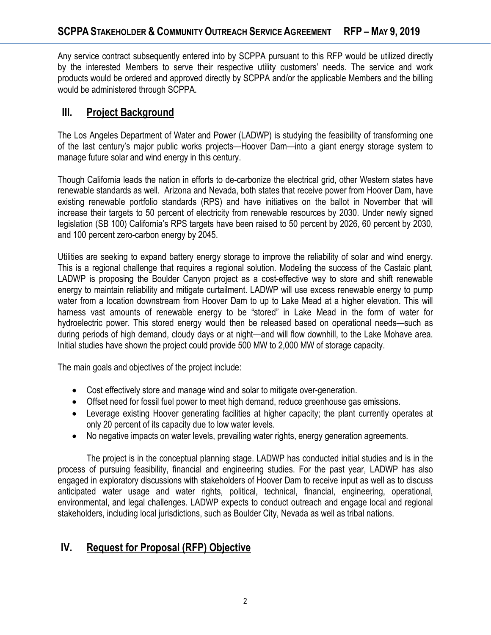Any service contract subsequently entered into by SCPPA pursuant to this RFP would be utilized directly by the interested Members to serve their respective utility customers' needs. The service and work products would be ordered and approved directly by SCPPA and/or the applicable Members and the billing would be administered through SCPPA.

## **III. Project Background**

The Los Angeles Department of Water and Power (LADWP) is studying the feasibility of transforming one of the last century's major public works projects—Hoover Dam—into a giant energy storage system to manage future solar and wind energy in this century.

Though California leads the nation in efforts to de-carbonize the electrical grid, other Western states have renewable standards as well. Arizona and Nevada, both states that receive power from Hoover Dam, have existing renewable portfolio standards (RPS) and have initiatives on the ballot in November that will increase their targets to 50 percent of electricity from renewable resources by 2030. Under newly signed legislation (SB 100) California's RPS targets have been raised to 50 percent by 2026, 60 percent by 2030, and 100 percent zero-carbon energy by 2045.

Utilities are seeking to expand battery energy storage to improve the reliability of solar and wind energy. This is a regional challenge that requires a regional solution. Modeling the success of the Castaic plant, LADWP is proposing the Boulder Canyon project as a cost-effective way to store and shift renewable energy to maintain reliability and mitigate curtailment. LADWP will use excess renewable energy to pump water from a location downstream from Hoover Dam to up to Lake Mead at a higher elevation. This will harness vast amounts of renewable energy to be "stored" in Lake Mead in the form of water for hydroelectric power. This stored energy would then be released based on operational needs—such as during periods of high demand, cloudy days or at night—and will flow downhill, to the Lake Mohave area. Initial studies have shown the project could provide 500 MW to 2,000 MW of storage capacity.

The main goals and objectives of the project include:

- Cost effectively store and manage wind and solar to mitigate over-generation.
- Offset need for fossil fuel power to meet high demand, reduce greenhouse gas emissions.
- Leverage existing Hoover generating facilities at higher capacity; the plant currently operates at only 20 percent of its capacity due to low water levels.
- No negative impacts on water levels, prevailing water rights, energy generation agreements.

The project is in the conceptual planning stage. LADWP has conducted initial studies and is in the process of pursuing feasibility, financial and engineering studies. For the past year, LADWP has also engaged in exploratory discussions with stakeholders of Hoover Dam to receive input as well as to discuss anticipated water usage and water rights, political, technical, financial, engineering, operational, environmental, and legal challenges. LADWP expects to conduct outreach and engage local and regional stakeholders, including local jurisdictions, such as Boulder City, Nevada as well as tribal nations.

# **IV. Request for Proposal (RFP) Objective**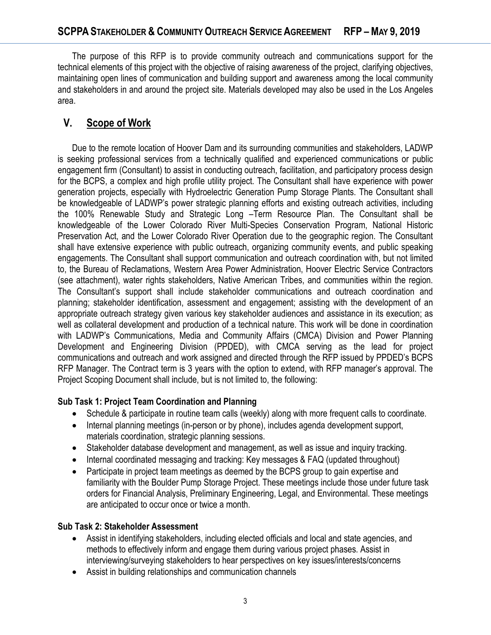The purpose of this RFP is to provide community outreach and communications support for the technical elements of this project with the objective of raising awareness of the project, clarifying objectives, maintaining open lines of communication and building support and awareness among the local community and stakeholders in and around the project site. Materials developed may also be used in the Los Angeles area.

# **V. Scope of Work**

Due to the remote location of Hoover Dam and its surrounding communities and stakeholders, LADWP is seeking professional services from a technically qualified and experienced communications or public engagement firm (Consultant) to assist in conducting outreach, facilitation, and participatory process design for the BCPS, a complex and high profile utility project. The Consultant shall have experience with power generation projects, especially with Hydroelectric Generation Pump Storage Plants. The Consultant shall be knowledgeable of LADWP's power strategic planning efforts and existing outreach activities, including the 100% Renewable Study and Strategic Long –Term Resource Plan. The Consultant shall be knowledgeable of the Lower Colorado River Multi-Species Conservation Program, National Historic Preservation Act, and the Lower Colorado River Operation due to the geographic region. The Consultant shall have extensive experience with public outreach, organizing community events, and public speaking engagements. The Consultant shall support communication and outreach coordination with, but not limited to, the Bureau of Reclamations, Western Area Power Administration, Hoover Electric Service Contractors (see attachment), water rights stakeholders, Native American Tribes, and communities within the region. The Consultant's support shall include stakeholder communications and outreach coordination and planning; stakeholder identification, assessment and engagement; assisting with the development of an appropriate outreach strategy given various key stakeholder audiences and assistance in its execution; as well as collateral development and production of a technical nature. This work will be done in coordination with LADWP's Communications, Media and Community Affairs (CMCA) Division and Power Planning Development and Engineering Division (PPDED), with CMCA serving as the lead for project communications and outreach and work assigned and directed through the RFP issued by PPDED's BCPS RFP Manager. The Contract term is 3 years with the option to extend, with RFP manager's approval. The Project Scoping Document shall include, but is not limited to, the following:

### **Sub Task 1: Project Team Coordination and Planning**

- Schedule & participate in routine team calls (weekly) along with more frequent calls to coordinate.
- Internal planning meetings (in-person or by phone), includes agenda development support, materials coordination, strategic planning sessions.
- Stakeholder database development and management, as well as issue and inquiry tracking.
- Internal coordinated messaging and tracking: Key messages & FAQ (updated throughout)
- Participate in project team meetings as deemed by the BCPS group to gain expertise and familiarity with the Boulder Pump Storage Project. These meetings include those under future task orders for Financial Analysis, Preliminary Engineering, Legal, and Environmental. These meetings are anticipated to occur once or twice a month.

### **Sub Task 2: Stakeholder Assessment**

- Assist in identifying stakeholders, including elected officials and local and state agencies, and methods to effectively inform and engage them during various project phases. Assist in interviewing/surveying stakeholders to hear perspectives on key issues/interests/concerns
- Assist in building relationships and communication channels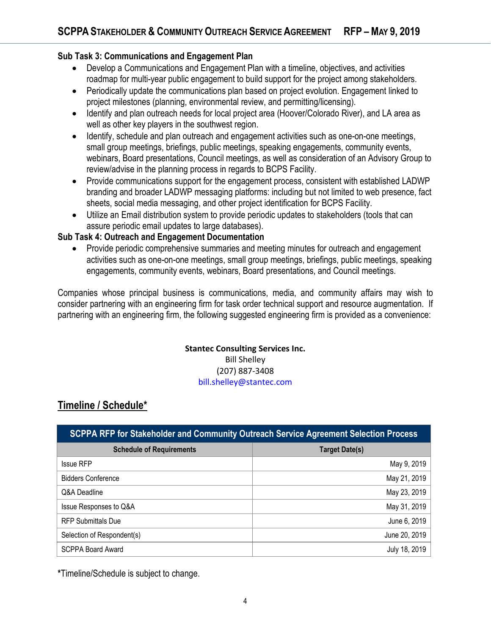#### **Sub Task 3: Communications and Engagement Plan**

- Develop a Communications and Engagement Plan with a timeline, objectives, and activities roadmap for multi-year public engagement to build support for the project among stakeholders.
- Periodically update the communications plan based on project evolution. Engagement linked to project milestones (planning, environmental review, and permitting/licensing).
- Identify and plan outreach needs for local project area (Hoover/Colorado River), and LA area as well as other key players in the southwest region.
- Identify, schedule and plan outreach and engagement activities such as one-on-one meetings, small group meetings, briefings, public meetings, speaking engagements, community events, webinars, Board presentations, Council meetings, as well as consideration of an Advisory Group to review/advise in the planning process in regards to BCPS Facility.
- Provide communications support for the engagement process, consistent with established LADWP branding and broader LADWP messaging platforms: including but not limited to web presence, fact sheets, social media messaging, and other project identification for BCPS Facility.
- Utilize an Email distribution system to provide periodic updates to stakeholders (tools that can assure periodic email updates to large databases).

#### **Sub Task 4: Outreach and Engagement Documentation**

• Provide periodic comprehensive summaries and meeting minutes for outreach and engagement activities such as one-on-one meetings, small group meetings, briefings, public meetings, speaking engagements, community events, webinars, Board presentations, and Council meetings.

Companies whose principal business is communications, media, and community affairs may wish to consider partnering with an engineering firm for task order technical support and resource augmentation. If partnering with an engineering firm, the following suggested engineering firm is provided as a convenience:

#### **Stantec Consulting Services Inc.** Bill Shelley (207) 887-3408 bill.shelley@stantec.com

# **Timeline / Schedule\***

| <b>SCPPA RFP for Stakeholder and Community Outreach Service Agreement Selection Process</b> |                |
|---------------------------------------------------------------------------------------------|----------------|
| <b>Schedule of Requirements</b>                                                             | Target Date(s) |
| <b>Issue RFP</b>                                                                            | May 9, 2019    |
| <b>Bidders Conference</b>                                                                   | May 21, 2019   |
| Q&A Deadline                                                                                | May 23, 2019   |
| Issue Responses to Q&A                                                                      | May 31, 2019   |
| <b>RFP Submittals Due</b>                                                                   | June 6, 2019   |
| Selection of Respondent(s)                                                                  | June 20, 2019  |
| <b>SCPPA Board Award</b>                                                                    | July 18, 2019  |

**\***Timeline/Schedule is subject to change.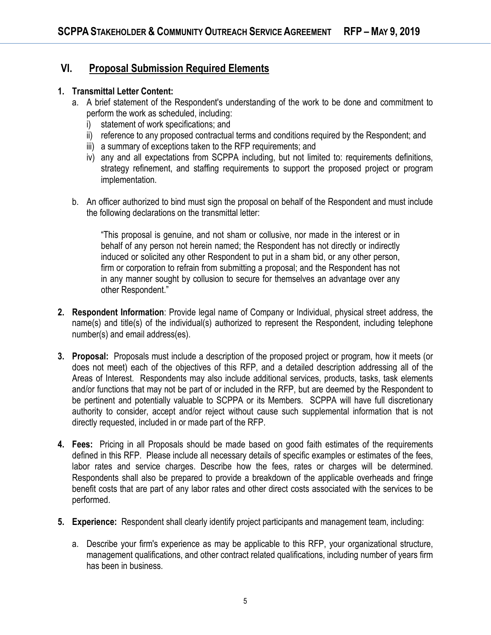## **VI. Proposal Submission Required Elements**

#### **1. Transmittal Letter Content:**

- a. A brief statement of the Respondent's understanding of the work to be done and commitment to perform the work as scheduled, including:
	- i) statement of work specifications; and
	- ii) reference to any proposed contractual terms and conditions required by the Respondent; and
	- iii) a summary of exceptions taken to the RFP requirements; and
	- iv) any and all expectations from SCPPA including, but not limited to: requirements definitions, strategy refinement, and staffing requirements to support the proposed project or program implementation.
- b. An officer authorized to bind must sign the proposal on behalf of the Respondent and must include the following declarations on the transmittal letter:

"This proposal is genuine, and not sham or collusive, nor made in the interest or in behalf of any person not herein named; the Respondent has not directly or indirectly induced or solicited any other Respondent to put in a sham bid, or any other person, firm or corporation to refrain from submitting a proposal; and the Respondent has not in any manner sought by collusion to secure for themselves an advantage over any other Respondent."

- **2. Respondent Information**: Provide legal name of Company or Individual, physical street address, the name(s) and title(s) of the individual(s) authorized to represent the Respondent, including telephone number(s) and email address(es).
- **3. Proposal:** Proposals must include a description of the proposed project or program, how it meets (or does not meet) each of the objectives of this RFP, and a detailed description addressing all of the Areas of Interest. Respondents may also include additional services, products, tasks, task elements and/or functions that may not be part of or included in the RFP, but are deemed by the Respondent to be pertinent and potentially valuable to SCPPA or its Members. SCPPA will have full discretionary authority to consider, accept and/or reject without cause such supplemental information that is not directly requested, included in or made part of the RFP.
- **4. Fees:** Pricing in all Proposals should be made based on good faith estimates of the requirements defined in this RFP. Please include all necessary details of specific examples or estimates of the fees, labor rates and service charges. Describe how the fees, rates or charges will be determined. Respondents shall also be prepared to provide a breakdown of the applicable overheads and fringe benefit costs that are part of any labor rates and other direct costs associated with the services to be performed.
- **5. Experience:** Respondent shall clearly identify project participants and management team, including:
	- a. Describe your firm's experience as may be applicable to this RFP, your organizational structure, management qualifications, and other contract related qualifications, including number of years firm has been in business.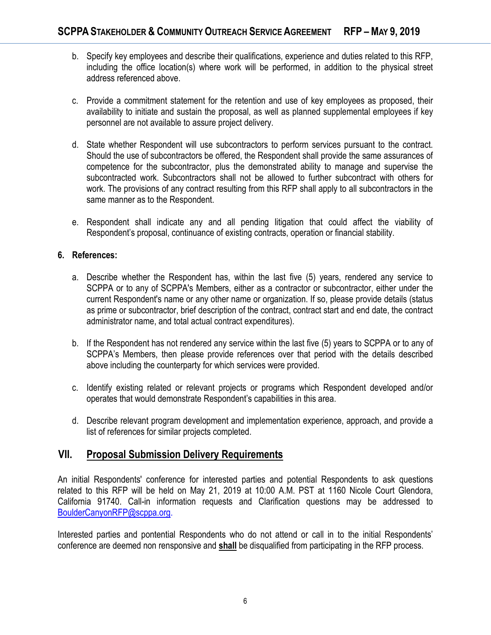- b. Specify key employees and describe their qualifications, experience and duties related to this RFP, including the office location(s) where work will be performed, in addition to the physical street address referenced above.
- c. Provide a commitment statement for the retention and use of key employees as proposed, their availability to initiate and sustain the proposal, as well as planned supplemental employees if key personnel are not available to assure project delivery.
- d. State whether Respondent will use subcontractors to perform services pursuant to the contract. Should the use of subcontractors be offered, the Respondent shall provide the same assurances of competence for the subcontractor, plus the demonstrated ability to manage and supervise the subcontracted work. Subcontractors shall not be allowed to further subcontract with others for work. The provisions of any contract resulting from this RFP shall apply to all subcontractors in the same manner as to the Respondent.
- e. Respondent shall indicate any and all pending litigation that could affect the viability of Respondent's proposal, continuance of existing contracts, operation or financial stability.

#### **6. References:**

- a. Describe whether the Respondent has, within the last five (5) years, rendered any service to SCPPA or to any of SCPPA's Members, either as a contractor or subcontractor, either under the current Respondent's name or any other name or organization. If so, please provide details (status as prime or subcontractor, brief description of the contract, contract start and end date, the contract administrator name, and total actual contract expenditures).
- b. If the Respondent has not rendered any service within the last five (5) years to SCPPA or to any of SCPPA's Members, then please provide references over that period with the details described above including the counterparty for which services were provided.
- c. Identify existing related or relevant projects or programs which Respondent developed and/or operates that would demonstrate Respondent's capabilities in this area.
- d. Describe relevant program development and implementation experience, approach, and provide a list of references for similar projects completed.

### **VII. Proposal Submission Delivery Requirements**

An initial Respondents' conference for interested parties and potential Respondents to ask questions related to this RFP will be held on May 21, 2019 at 10:00 A.M. PST at 1160 Nicole Court Glendora, California 91740. Call-in information requests and Clarification questions may be addressed to [BoulderCanyonRFP@scppa.org.](mailto:BoulderCanyonRFP@scppa.org)

Interested parties and pontential Respondents who do not attend or call in to the initial Respondents' conference are deemed non rensponsive and **shall** be disqualified from participating in the RFP process.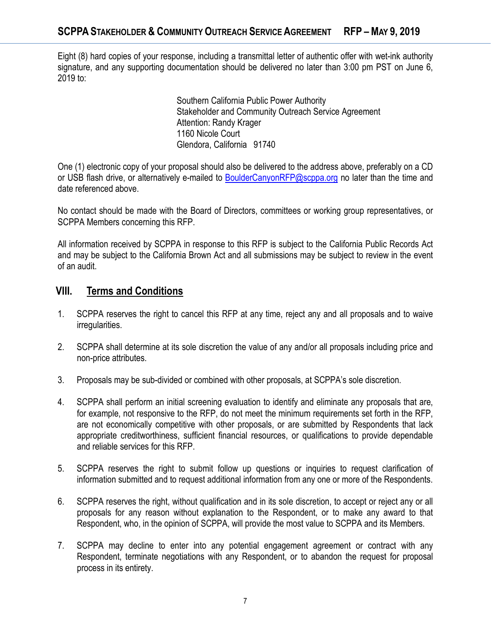Eight (8) hard copies of your response, including a transmittal letter of authentic offer with wet-ink authority signature, and any supporting documentation should be delivered no later than 3:00 pm PST on June 6, 2019 to:

> Southern California Public Power Authority Stakeholder and Community Outreach Service Agreement Attention: Randy Krager 1160 Nicole Court Glendora, California 91740

One (1) electronic copy of your proposal should also be delivered to the address above, preferably on a CD or USB flash drive, or alternatively e-mailed to [BoulderCanyonRFP@scppa.org](mailto:BoulderCanyonRFP@scppa.org) no later than the time and date referenced above.

No contact should be made with the Board of Directors, committees or working group representatives, or SCPPA Members concerning this RFP.

All information received by SCPPA in response to this RFP is subject to the California Public Records Act and may be subject to the California Brown Act and all submissions may be subject to review in the event of an audit.

### **VIII. Terms and Conditions**

- 1. SCPPA reserves the right to cancel this RFP at any time, reject any and all proposals and to waive irregularities.
- 2. SCPPA shall determine at its sole discretion the value of any and/or all proposals including price and non-price attributes.
- 3. Proposals may be sub-divided or combined with other proposals, at SCPPA's sole discretion.
- 4. SCPPA shall perform an initial screening evaluation to identify and eliminate any proposals that are, for example, not responsive to the RFP, do not meet the minimum requirements set forth in the RFP, are not economically competitive with other proposals, or are submitted by Respondents that lack appropriate creditworthiness, sufficient financial resources, or qualifications to provide dependable and reliable services for this RFP.
- 5. SCPPA reserves the right to submit follow up questions or inquiries to request clarification of information submitted and to request additional information from any one or more of the Respondents.
- 6. SCPPA reserves the right, without qualification and in its sole discretion, to accept or reject any or all proposals for any reason without explanation to the Respondent, or to make any award to that Respondent, who, in the opinion of SCPPA, will provide the most value to SCPPA and its Members.
- 7. SCPPA may decline to enter into any potential engagement agreement or contract with any Respondent, terminate negotiations with any Respondent, or to abandon the request for proposal process in its entirety.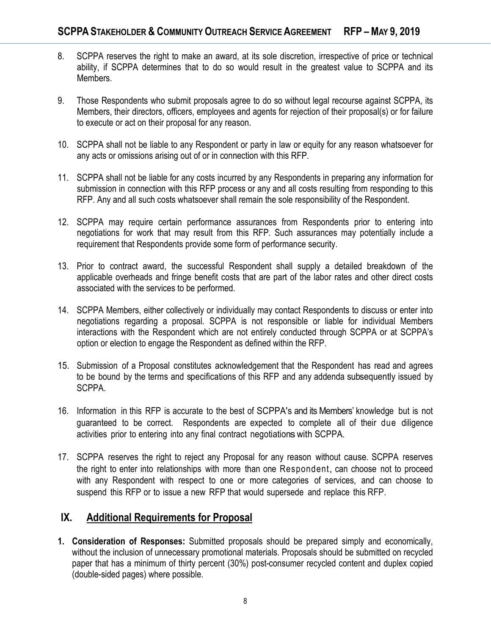- 8. SCPPA reserves the right to make an award, at its sole discretion, irrespective of price or technical ability, if SCPPA determines that to do so would result in the greatest value to SCPPA and its Members.
- 9. Those Respondents who submit proposals agree to do so without legal recourse against SCPPA, its Members, their directors, officers, employees and agents for rejection of their proposal(s) or for failure to execute or act on their proposal for any reason.
- 10. SCPPA shall not be liable to any Respondent or party in law or equity for any reason whatsoever for any acts or omissions arising out of or in connection with this RFP.
- 11. SCPPA shall not be liable for any costs incurred by any Respondents in preparing any information for submission in connection with this RFP process or any and all costs resulting from responding to this RFP. Any and all such costs whatsoever shall remain the sole responsibility of the Respondent.
- 12. SCPPA may require certain performance assurances from Respondents prior to entering into negotiations for work that may result from this RFP. Such assurances may potentially include a requirement that Respondents provide some form of performance security.
- 13. Prior to contract award, the successful Respondent shall supply a detailed breakdown of the applicable overheads and fringe benefit costs that are part of the labor rates and other direct costs associated with the services to be performed.
- 14. SCPPA Members, either collectively or individually may contact Respondents to discuss or enter into negotiations regarding a proposal. SCPPA is not responsible or liable for individual Members interactions with the Respondent which are not entirely conducted through SCPPA or at SCPPA's option or election to engage the Respondent as defined within the RFP.
- 15. Submission of a Proposal constitutes acknowledgement that the Respondent has read and agrees to be bound by the terms and specifications of this RFP and any addenda subsequently issued by SCPPA.
- 16. Information in this RFP is accurate to the best of SCPPA's and its Members' knowledge but is not guaranteed to be correct. Respondents are expected to complete all of their due diligence activities prior to entering into any final contract negotiations with SCPPA.
- 17. SCPPA reserves the right to reject any Proposal for any reason without cause. SCPPA reserves the right to enter into relationships with more than one Respondent, can choose not to proceed with any Respondent with respect to one or more categories of services, and can choose to suspend this RFP or to issue a new RFP that would supersede and replace this RFP.

### **IX. Additional Requirements for Proposal**

**1. Consideration of Responses:** Submitted proposals should be prepared simply and economically, without the inclusion of unnecessary promotional materials. Proposals should be submitted on recycled paper that has a minimum of thirty percent (30%) post-consumer recycled content and duplex copied (double-sided pages) where possible.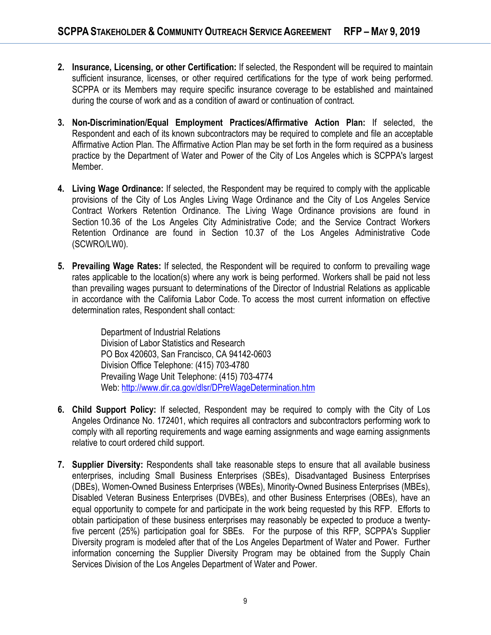- **2. Insurance, Licensing, or other Certification:** If selected, the Respondent will be required to maintain sufficient insurance, licenses, or other required certifications for the type of work being performed. SCPPA or its Members may require specific insurance coverage to be established and maintained during the course of work and as a condition of award or continuation of contract.
- **3. Non-Discrimination/Equal Employment Practices/Affirmative Action Plan:** If selected, the Respondent and each of its known subcontractors may be required to complete and file an acceptable Affirmative Action Plan. The Affirmative Action Plan may be set forth in the form required as a business practice by the Department of Water and Power of the City of Los Angeles which is SCPPA's largest Member.
- **4. Living Wage Ordinance:** If selected, the Respondent may be required to comply with the applicable provisions of the City of Los Angles Living Wage Ordinance and the City of Los Angeles Service Contract Workers Retention Ordinance. The Living Wage Ordinance provisions are found in Section 10.36 of the Los Angeles City Administrative Code; and the Service Contract Workers Retention Ordinance are found in Section 10.37 of the Los Angeles Administrative Code (SCWRO/LW0).
- **5. Prevailing Wage Rates:** If selected, the Respondent will be required to conform to prevailing wage rates applicable to the location(s) where any work is being performed. Workers shall be paid not less than prevailing wages pursuant to determinations of the Director of Industrial Relations as applicable in accordance with the California Labor Code. To access the most current information on effective determination rates, Respondent shall contact:

Department of Industrial Relations Division of Labor Statistics and Research PO Box 420603, San Francisco, CA 94142-0603 Division Office Telephone: (415) 703-4780 Prevailing Wage Unit Telephone: (415) 703-4774 Web[: http://www.dir.ca.gov/dlsr/DPreWageDetermination.htm](http://www.dir.ca.gov/dlsr/DPreWageDetermination.htm)

- **6. Child Support Policy:** If selected, Respondent may be required to comply with the City of Los Angeles Ordinance No. 172401, which requires all contractors and subcontractors performing work to comply with all reporting requirements and wage earning assignments and wage earning assignments relative to court ordered child support.
- **7. Supplier Diversity:** Respondents shall take reasonable steps to ensure that all available business enterprises, including Small Business Enterprises (SBEs), Disadvantaged Business Enterprises (DBEs), Women-Owned Business Enterprises (WBEs), Minority-Owned Business Enterprises (MBEs), Disabled Veteran Business Enterprises (DVBEs), and other Business Enterprises (OBEs), have an equal opportunity to compete for and participate in the work being requested by this RFP. Efforts to obtain participation of these business enterprises may reasonably be expected to produce a twentyfive percent (25%) participation goal for SBEs. For the purpose of this RFP, SCPPA's Supplier Diversity program is modeled after that of the Los Angeles Department of Water and Power. Further information concerning the Supplier Diversity Program may be obtained from the Supply Chain Services Division of the Los Angeles Department of Water and Power.